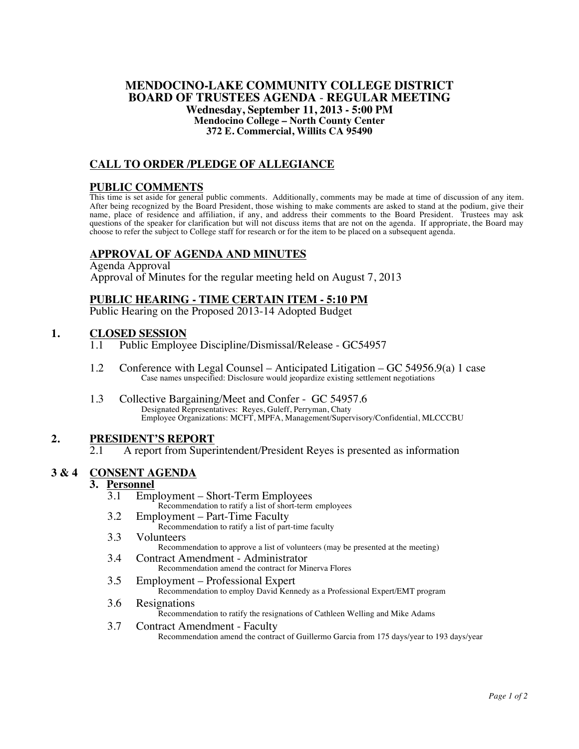### **MENDOCINO-LAKE COMMUNITY COLLEGE DISTRICT BOARD OF TRUSTEES AGENDA** - **REGULAR MEETING Wednesday, September 11, 2013 - 5:00 PM Mendocino College – North County Center 372 E. Commercial, Willits CA 95490**

## **CALL TO ORDER /PLEDGE OF ALLEGIANCE**

## **PUBLIC COMMENTS**

This time is set aside for general public comments. Additionally, comments may be made at time of discussion of any item. After being recognized by the Board President, those wishing to make comments are asked to stand at the podium, give their<br>name, place of residence and affiliation, if any, and address their comments to the Board President questions of the speaker for clarification but will not discuss items that are not on the agenda. If appropriate, the Board may choose to refer the subject to College staff for research or for the item to be placed on a subsequent agenda.

## **APPROVAL OF AGENDA AND MINUTES**

Agenda Approval Approval of Minutes for the regular meeting held on August 7, 2013

### **PUBLIC HEARING - TIME CERTAIN ITEM - 5:10 PM**

Public Hearing on the Proposed 2013-14 Adopted Budget

### **1. CLOSED SESSION**

- 1.1 Public Employee Discipline/Dismissal/Release GC54957
- 1.2 Conference with Legal Counsel Anticipated Litigation GC 54956.9(a) 1 case Case names unspecified: Disclosure would jeopardize existing settlement negotiations
- 1.3 Collective Bargaining/Meet and Confer GC 54957.6 Designated Representatives: Reyes, Guleff, Perryman, Chaty Employee Organizations: MCFT, MPFA, Management/Supervisory/Confidential, MLCCCBU

## 2. **PRESIDENT'S REPORT**<br>2.1 A report from Super

2.1 A report from Superintendent/President Reyes is presented as information

### **3 & 4 CONSENT AGENDA**

## **3.** <u>Personnel</u><br> **3.1** Emp

Employment – Short-Term Employees

Recommendation to ratify a list of short-term employees

- 3.2 Employment Part-Time Faculty Recommendation to ratify a list of part-time faculty
- 3.3 Volunteers Recommendation to approve a list of volunteers (may be presented at the meeting) 3.4 Contract Amendment - Administrator
	- Recommendation amend the contract for Minerva Flores
- 3.5 Employment Professional Expert

Recommendation to employ David Kennedy as a Professional Expert/EMT program

- 3.6 Resignations Recommendation to ratify the resignations of Cathleen Welling and Mike Adams
- 3.7 Contract Amendment Faculty Recommendation amend the contract of Guillermo Garcia from 175 days/year to 193 days/year